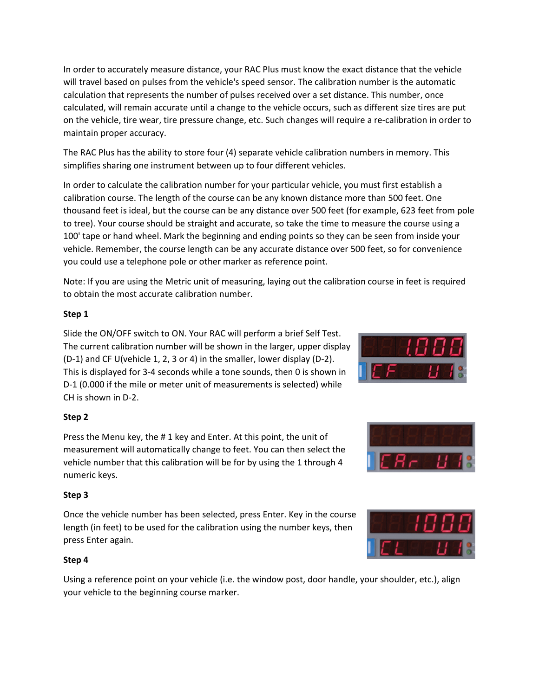In order to accurately measure distance, your RAC Plus must know the exact distance that the vehicle will travel based on pulses from the vehicle's speed sensor. The calibration number is the automatic calculation that represents the number of pulses received over a set distance. This number, once calculated, will remain accurate until a change to the vehicle occurs, such as different size tires are put on the vehicle, tire wear, tire pressure change, etc. Such changes will require a re-calibration in order to maintain proper accuracy.

The RAC Plus has the ability to store four (4) separate vehicle calibration numbers in memory. This simplifies sharing one instrument between up to four different vehicles.

In order to calculate the calibration number for your particular vehicle, you must first establish a calibration course. The length of the course can be any known distance more than 500 feet. One thousand feet is ideal, but the course can be any distance over 500 feet (for example, 623 feet from pole to tree). Your course should be straight and accurate, so take the time to measure the course using a 100' tape or hand wheel. Mark the beginning and ending points so they can be seen from inside your vehicle. Remember, the course length can be any accurate distance over 500 feet, so for convenience you could use a telephone pole or other marker as reference point.

Note: If you are using the Metric unit of measuring, laying out the calibration course in feet is required to obtain the most accurate calibration number.

# **Step 1**

Slide the ON/OFF switch to ON. Your RAC will perform a brief Self Test. The current calibration number will be shown in the larger, upper display (D-1) and CF U(vehicle 1, 2, 3 or 4) in the smaller, lower display (D-2). This is displayed for 3-4 seconds while a tone sounds, then 0 is shown in D-1 (0.000 if the mile or meter unit of measurements is selected) while CH is shown in D-2.



# **Step 2**

Press the Menu key, the # 1 key and Enter. At this point, the unit of measurement will automatically change to feet. You can then select the vehicle number that this calibration will be for by using the 1 through 4 numeric keys.

# **Step 3**

Once the vehicle number has been selected, press Enter. Key in the course length (in feet) to be used for the calibration using the number keys, then press Enter again.

## **Step 4**

Using a reference point on your vehicle (i.e. the window post, door handle, your shoulder, etc.), align your vehicle to the beginning course marker.